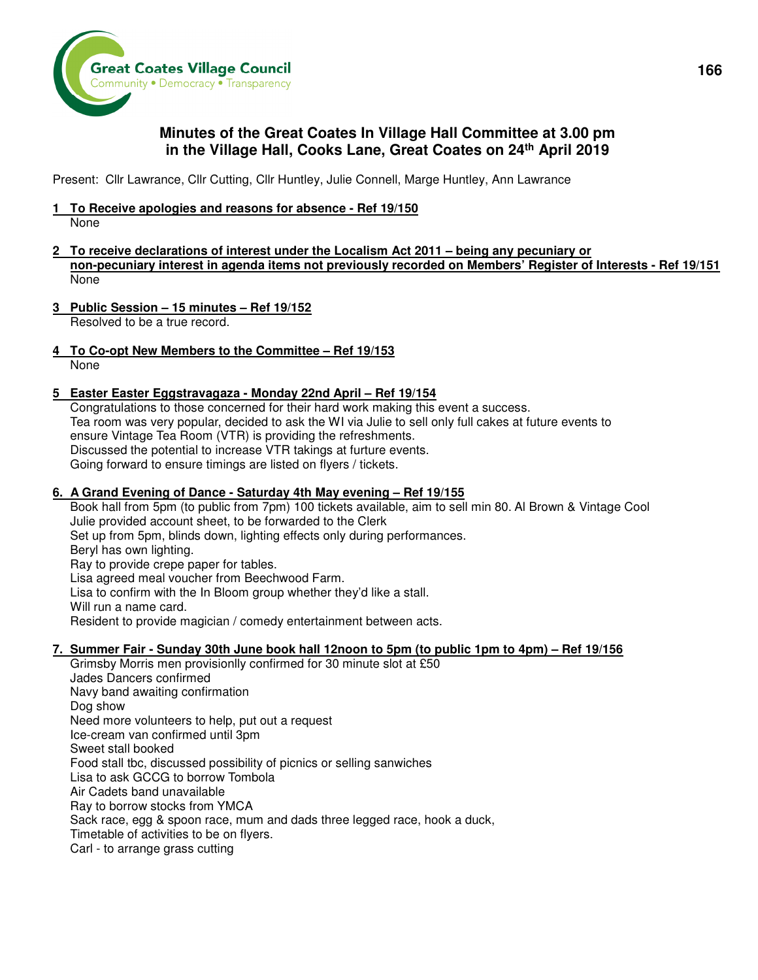

# **Minutes of the Great Coates In Village Hall Committee at 3.00 pm in the Village Hall, Cooks Lane, Great Coates on 24th April 2019**

Present: Cllr Lawrance, Cllr Cutting, Cllr Huntley, Julie Connell, Marge Huntley, Ann Lawrance

#### **1 To Receive apologies and reasons for absence - Ref 19/150**

None

- **2 To receive declarations of interest under the Localism Act 2011 being any pecuniary or non-pecuniary interest in agenda items not previously recorded on Members' Register of Interests - Ref 19/151**  None
- **3 Public Session 15 minutes Ref 19/152**

Resolved to be a true record.

**4 To Co-opt New Members to the Committee – Ref 19/153** 

None

### **5 Easter Easter Eggstravagaza - Monday 22nd April – Ref 19/154**

Congratulations to those concerned for their hard work making this event a success. Tea room was very popular, decided to ask the WI via Julie to sell only full cakes at future events to ensure Vintage Tea Room (VTR) is providing the refreshments. Discussed the potential to increase VTR takings at furture events. Going forward to ensure timings are listed on flyers / tickets.

## **6. A Grand Evening of Dance - Saturday 4th May evening – Ref 19/155**

Book hall from 5pm (to public from 7pm) 100 tickets available, aim to sell min 80. Al Brown & Vintage Cool Julie provided account sheet, to be forwarded to the Clerk Set up from 5pm, blinds down, lighting effects only during performances. Beryl has own lighting. Ray to provide crepe paper for tables. Lisa agreed meal voucher from Beechwood Farm. Lisa to confirm with the In Bloom group whether they'd like a stall. Will run a name card. Resident to provide magician / comedy entertainment between acts.

### **7. Summer Fair - Sunday 30th June book hall 12noon to 5pm (to public 1pm to 4pm) – Ref 19/156**

Grimsby Morris men provisionlly confirmed for 30 minute slot at £50 Jades Dancers confirmed Navy band awaiting confirmation Dog show Need more volunteers to help, put out a request Ice-cream van confirmed until 3pm Sweet stall booked Food stall tbc, discussed possibility of picnics or selling sanwiches Lisa to ask GCCG to borrow Tombola Air Cadets band unavailable Ray to borrow stocks from YMCA Sack race, egg & spoon race, mum and dads three legged race, hook a duck, Timetable of activities to be on flyers. Carl - to arrange grass cutting